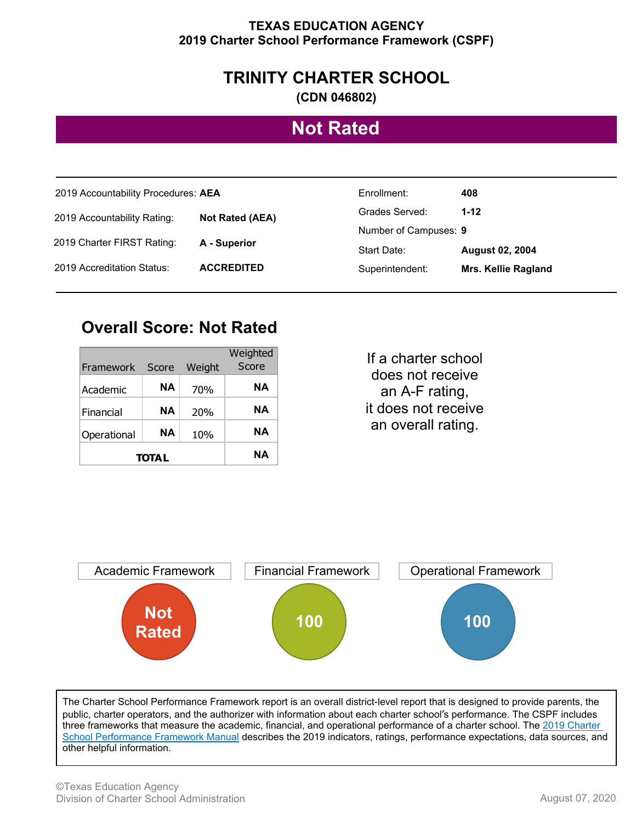#### **TEXAS EDUCATION AGENCY 2019 Charter School Performance Framework (CSPF)**

### **TRINITY CHARTER SCHOOL**

**(CDN 046802)**

## **Not Rated**

| 2019 Accountability Procedures: AEA                                                                 |                   | Enrollment:           | 408                    |
|-----------------------------------------------------------------------------------------------------|-------------------|-----------------------|------------------------|
| 2019 Accountability Rating:<br><b>Not Rated (AEA)</b><br>2019 Charter FIRST Rating:<br>A - Superior |                   | Grades Served:        | $1 - 12$               |
|                                                                                                     |                   | Number of Campuses: 9 |                        |
|                                                                                                     |                   | Start Date:           | <b>August 02, 2004</b> |
| 2019 Accreditation Status:                                                                          | <b>ACCREDITED</b> | Superintendent:       | Mrs. Kellie Ragland    |

### **Overall Score: Not Rated**

|               |       |        | Weighted |
|---------------|-------|--------|----------|
| Framework     | Score | Weight | Score    |
| Academic      | NΑ    | 70%    | NΑ       |
| Financial     | NΑ    | 20%    | NΑ       |
| Operational   | NΑ    | 10%    | NΑ       |
| <b>TOTA L</b> |       |        | NΑ       |

If a charter school does not receive an A-F rating, it does not receive an overall rating.



The Charter School Performance Framework report is an overall district-level report that is designed to provide parents, the public, charter operators, and the authorizer with information about each charter school's performance. The CSPF includes three frameworks that measure the academic, financial, and operational performance of a charter school. The 2019 Charter School Performance Framework Manual describes the 2019 indicators, ratings, performance expectations, data sources, and other helpful information.